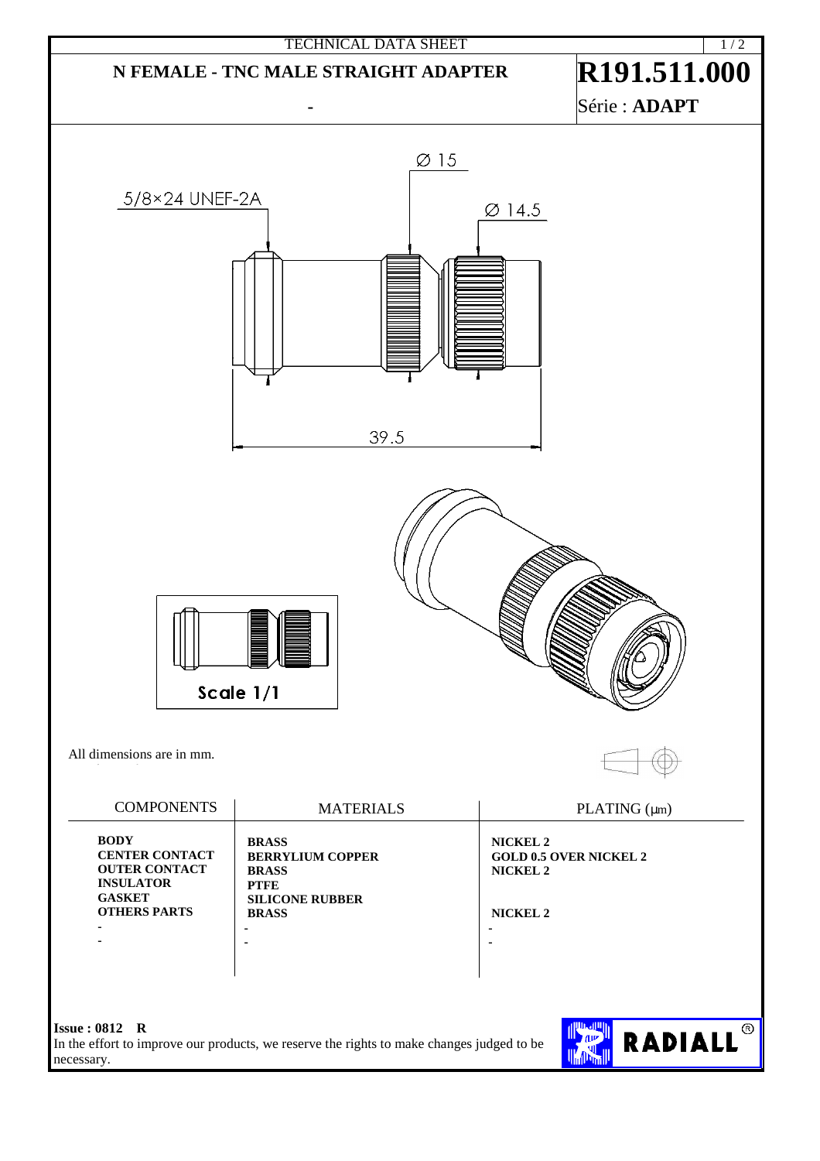